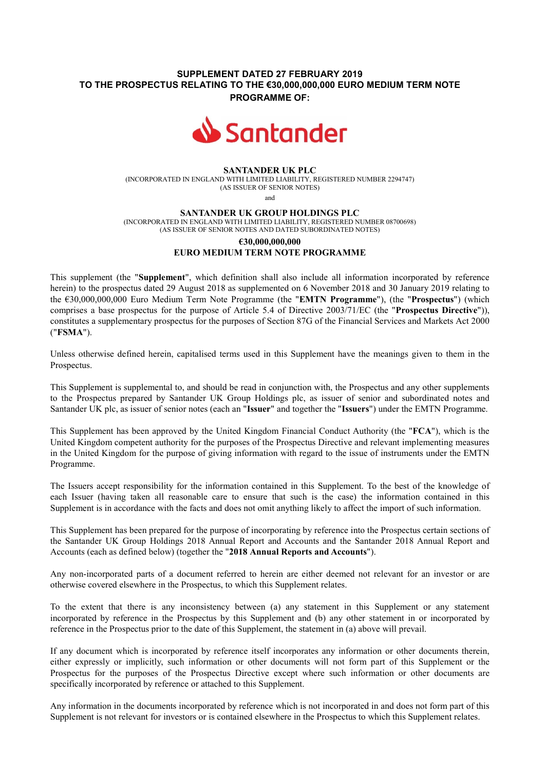# **SUPPLEMENT DATED 27 FEBRUARY 2019 TO THE PROSPECTUS RELATING TO THE €30,000,000,000 EURO MEDIUM TERM NOTE PROGRAMME OF:**



### **SANTANDER UK PLC**

(INCORPORATED IN ENGLAND WITH LIMITED LIABILITY, REGISTERED NUMBER 2294747) (AS ISSUER OF SENIOR NOTES)

and

#### **SANTANDER UK GROUP HOLDINGS PLC**

(INCORPORATED IN ENGLAND WITH LIMITED LIABILITY, REGISTERED NUMBER 08700698) (AS ISSUER OF SENIOR NOTES AND DATED SUBORDINATED NOTES)

# **€30,000,000,000 EURO MEDIUM TERM NOTE PROGRAMME**

This supplement (the "**Supplement**", which definition shall also include all information incorporated by reference herein) to the prospectus dated 29 August 2018 as supplemented on 6 November 2018 and 30 January 2019 relating to the €30,000,000,000 Euro Medium Term Note Programme (the "**EMTN Programme**"), (the "**Prospectus**") (which comprises a base prospectus for the purpose of Article 5.4 of Directive 2003/71/EC (the "**Prospectus Directive**")), constitutes a supplementary prospectus for the purposes of Section 87G of the Financial Services and Markets Act 2000 ("**FSMA**").

Unless otherwise defined herein, capitalised terms used in this Supplement have the meanings given to them in the Prospectus.

This Supplement is supplemental to, and should be read in conjunction with, the Prospectus and any other supplements to the Prospectus prepared by Santander UK Group Holdings plc, as issuer of senior and subordinated notes and Santander UK plc, as issuer of senior notes (each an "**Issuer**" and together the "**Issuers**") under the EMTN Programme.

This Supplement has been approved by the United Kingdom Financial Conduct Authority (the "**FCA**"), which is the United Kingdom competent authority for the purposes of the Prospectus Directive and relevant implementing measures in the United Kingdom for the purpose of giving information with regard to the issue of instruments under the EMTN Programme.

The Issuers accept responsibility for the information contained in this Supplement. To the best of the knowledge of each Issuer (having taken all reasonable care to ensure that such is the case) the information contained in this Supplement is in accordance with the facts and does not omit anything likely to affect the import of such information.

This Supplement has been prepared for the purpose of incorporating by reference into the Prospectus certain sections of the Santander UK Group Holdings 2018 Annual Report and Accounts and the Santander 2018 Annual Report and Accounts (each as defined below) (together the "**2018 Annual Reports and Accounts**").

Any non-incorporated parts of a document referred to herein are either deemed not relevant for an investor or are otherwise covered elsewhere in the Prospectus, to which this Supplement relates.

To the extent that there is any inconsistency between (a) any statement in this Supplement or any statement incorporated by reference in the Prospectus by this Supplement and (b) any other statement in or incorporated by reference in the Prospectus prior to the date of this Supplement, the statement in (a) above will prevail.

If any document which is incorporated by reference itself incorporates any information or other documents therein, either expressly or implicitly, such information or other documents will not form part of this Supplement or the Prospectus for the purposes of the Prospectus Directive except where such information or other documents are specifically incorporated by reference or attached to this Supplement.

Any information in the documents incorporated by reference which is not incorporated in and does not form part of this Supplement is not relevant for investors or is contained elsewhere in the Prospectus to which this Supplement relates.